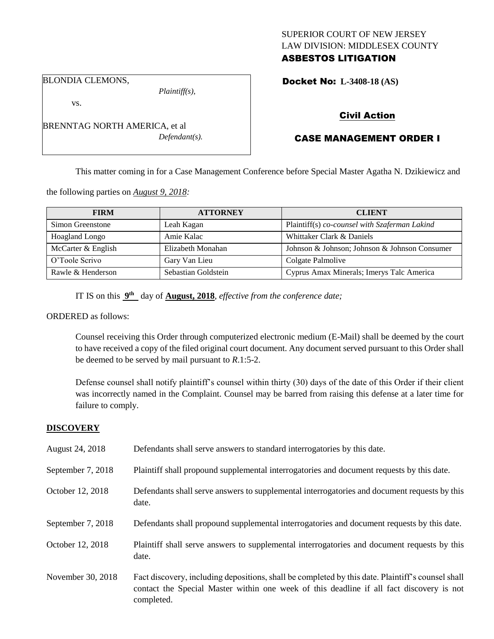# SUPERIOR COURT OF NEW JERSEY LAW DIVISION: MIDDLESEX COUNTY ASBESTOS LITIGATION

BLONDIA CLEMONS,

vs.

*Plaintiff(s),*

Docket No: **L-3408-18 (AS)** 

# Civil Action

# CASE MANAGEMENT ORDER I

This matter coming in for a Case Management Conference before Special Master Agatha N. Dzikiewicz and

the following parties on *August 9, 2018:*

| <b>FIRM</b>           | <b>ATTORNEY</b>     | <b>CLIENT</b>                                 |
|-----------------------|---------------------|-----------------------------------------------|
| Simon Greenstone      | Leah Kagan          | Plaintiff(s) co-counsel with Szaferman Lakind |
| <b>Hoagland Longo</b> | Amie Kalac          | Whittaker Clark & Daniels                     |
| McCarter & English    | Elizabeth Monahan   | Johnson & Johnson; Johnson & Johnson Consumer |
| O'Toole Scrivo        | Gary Van Lieu       | Colgate Palmolive                             |
| Rawle & Henderson     | Sebastian Goldstein | Cyprus Amax Minerals; Imerys Talc America     |

IT IS on this  $9<sup>th</sup>$  day of **August, 2018**, *effective from the conference date*;

ORDERED as follows:

Counsel receiving this Order through computerized electronic medium (E-Mail) shall be deemed by the court to have received a copy of the filed original court document. Any document served pursuant to this Order shall be deemed to be served by mail pursuant to *R*.1:5-2.

Defense counsel shall notify plaintiff's counsel within thirty (30) days of the date of this Order if their client was incorrectly named in the Complaint. Counsel may be barred from raising this defense at a later time for failure to comply.

#### **DISCOVERY**

| August 24, 2018   | Defendants shall serve answers to standard interrogatories by this date.                                                                                                                                    |
|-------------------|-------------------------------------------------------------------------------------------------------------------------------------------------------------------------------------------------------------|
| September 7, 2018 | Plaintiff shall propound supplemental interrogatories and document requests by this date.                                                                                                                   |
| October 12, 2018  | Defendants shall serve answers to supplemental interrogatories and document requests by this<br>date.                                                                                                       |
| September 7, 2018 | Defendants shall propound supplemental interrogatories and document requests by this date.                                                                                                                  |
| October 12, 2018  | Plaintiff shall serve answers to supplemental interrogatories and document requests by this<br>date.                                                                                                        |
| November 30, 2018 | Fact discovery, including depositions, shall be completed by this date. Plaintiff's counsel shall<br>contact the Special Master within one week of this deadline if all fact discovery is not<br>completed. |

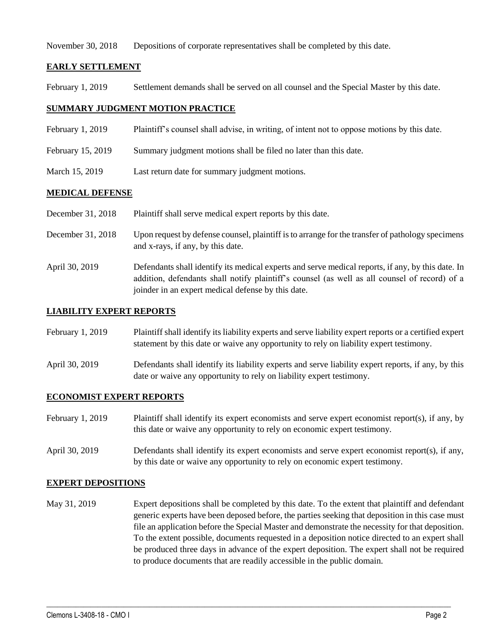November 30, 2018 Depositions of corporate representatives shall be completed by this date.

## **EARLY SETTLEMENT**

February 1, 2019 Settlement demands shall be served on all counsel and the Special Master by this date.

## **SUMMARY JUDGMENT MOTION PRACTICE**

- February 1, 2019 Plaintiff's counsel shall advise, in writing, of intent not to oppose motions by this date.
- February 15, 2019 Summary judgment motions shall be filed no later than this date.
- March 15, 2019 Last return date for summary judgment motions.

### **MEDICAL DEFENSE**

| December 31, 2018 | Plaintiff shall serve medical expert reports by this date. |  |
|-------------------|------------------------------------------------------------|--|
|                   |                                                            |  |

- December 31, 2018 Upon request by defense counsel, plaintiff is to arrange for the transfer of pathology specimens and x-rays, if any, by this date.
- April 30, 2019 Defendants shall identify its medical experts and serve medical reports, if any, by this date. In addition, defendants shall notify plaintiff's counsel (as well as all counsel of record) of a joinder in an expert medical defense by this date.

#### **LIABILITY EXPERT REPORTS**

| February 1, 2019 | Plaintiff shall identify its liability experts and serve liability expert reports or a certified expert |
|------------------|---------------------------------------------------------------------------------------------------------|
|                  | statement by this date or waive any opportunity to rely on liability expert testimony.                  |

April 30, 2019 Defendants shall identify its liability experts and serve liability expert reports, if any, by this date or waive any opportunity to rely on liability expert testimony.

#### **ECONOMIST EXPERT REPORTS**

- February 1, 2019 Plaintiff shall identify its expert economists and serve expert economist report(s), if any, by this date or waive any opportunity to rely on economic expert testimony.
- April 30, 2019 Defendants shall identify its expert economists and serve expert economist report(s), if any, by this date or waive any opportunity to rely on economic expert testimony.

#### **EXPERT DEPOSITIONS**

May 31, 2019 Expert depositions shall be completed by this date. To the extent that plaintiff and defendant generic experts have been deposed before, the parties seeking that deposition in this case must file an application before the Special Master and demonstrate the necessity for that deposition. To the extent possible, documents requested in a deposition notice directed to an expert shall be produced three days in advance of the expert deposition. The expert shall not be required to produce documents that are readily accessible in the public domain.

 $\_$  ,  $\_$  ,  $\_$  ,  $\_$  ,  $\_$  ,  $\_$  ,  $\_$  ,  $\_$  ,  $\_$  ,  $\_$  ,  $\_$  ,  $\_$  ,  $\_$  ,  $\_$  ,  $\_$  ,  $\_$  ,  $\_$  ,  $\_$  ,  $\_$  ,  $\_$  ,  $\_$  ,  $\_$  ,  $\_$  ,  $\_$  ,  $\_$  ,  $\_$  ,  $\_$  ,  $\_$  ,  $\_$  ,  $\_$  ,  $\_$  ,  $\_$  ,  $\_$  ,  $\_$  ,  $\_$  ,  $\_$  ,  $\_$  ,